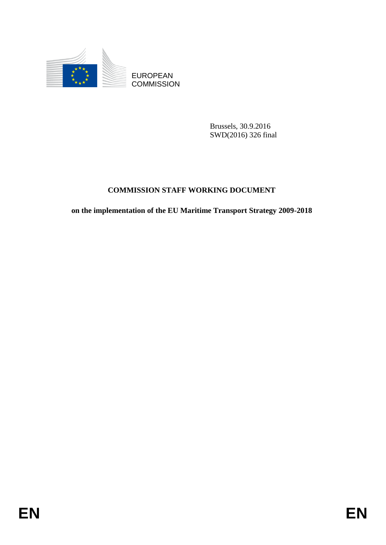

**COMMISSION** 

Brussels, 30.9.2016 SWD(2016) 326 final

# **COMMISSION STAFF WORKING DOCUMENT**

EUROPEAN<br>
EUROPEAN<br>
ENGANTERENT<br>
ENGANTERENT<br>
COMMUSSION STAFF WORKING DOCUMENT<br>
on the implementation of the EU Maritime Transport Strategy 2009-2018<br>
EN **on the implementation of the EU Maritime Transport Strategy 2009-2018**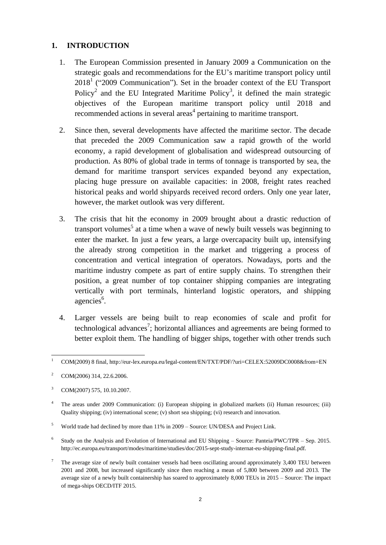#### **1. INTRODUCTION**

- 1. The European Commission presented in January 2009 a Communication on the strategic goals and recommendations for the EU's maritime transport policy until  $2018<sup>1</sup>$  ("2009 Communication"). Set in the broader context of the EU Transport Policy<sup>2</sup> and the EU Integrated Maritime Policy<sup>3</sup>, it defined the main strategic objectives of the European maritime transport policy until 2018 and recommended actions in several areas<sup>4</sup> pertaining to maritime transport.
- 2. Since then, several developments have affected the maritime sector. The decade that preceded the 2009 Communication saw a rapid growth of the world economy, a rapid development of globalisation and widespread outsourcing of production. As 80% of global trade in terms of tonnage is transported by sea, the demand for maritime transport services expanded beyond any expectation, placing huge pressure on available capacities: in 2008, freight rates reached historical peaks and world shipyards received record orders. Only one year later, however, the market outlook was very different.
- 3. The crisis that hit the economy in 2009 brought about a drastic reduction of transport volumes<sup>5</sup> at a time when a wave of newly built vessels was beginning to enter the market. In just a few years, a large overcapacity built up, intensifying the already strong competition in the market and triggering a process of concentration and vertical integration of operators. Nowadays, ports and the maritime industry compete as part of entire supply chains. To strengthen their position, a great number of top container shipping companies are integrating vertically with port terminals, hinterland logistic operators, and shipping agencies<sup>6</sup>.
- 4. Larger vessels are being built to reap economies of scale and profit for technological advances<sup>7</sup>; horizontal alliances and agreements are being formed to better exploit them. The handling of bigger ships, together with other trends such

 $\overline{a}$ <sup>1</sup> COM(2009) 8 final, <http://eur-lex.europa.eu/legal-content/EN/TXT/PDF/?uri=CELEX:52009DC0008&from=EN>

<sup>&</sup>lt;sup>2</sup> COM(2006) 314, 22.6.2006.

COM(2007) 575, 10.10.2007.

<sup>4</sup> The areas under 2009 Communication: (i) European shipping in globalized markets (ii) Human resources; (iii) Quality shipping; (iv) international scene; (v) short sea shipping; (vi) research and innovation.

<sup>5</sup> World trade had declined by more than 11% in 2009 – Source: UN/DESA and Project Link.

<sup>6</sup> Study on the Analysis and Evolution of International and EU Shipping – Source: Panteia/PWC/TPR – Sep. 2015. http://ec.europa.eu/transport/modes/maritime/studies/doc/2015-sept-study-internat-eu-shipping-final.pdf.

<sup>7</sup> The average size of newly built container vessels had been oscillating around approximately 3,400 TEU between 2001 and 2008, but increased significantly since then reaching a mean of 5,800 between 2009 and 2013. The average size of a newly built containership has soared to approximately 8,000 TEUs in 2015 – Source: The impact of mega-ships OECD/ITF 2015.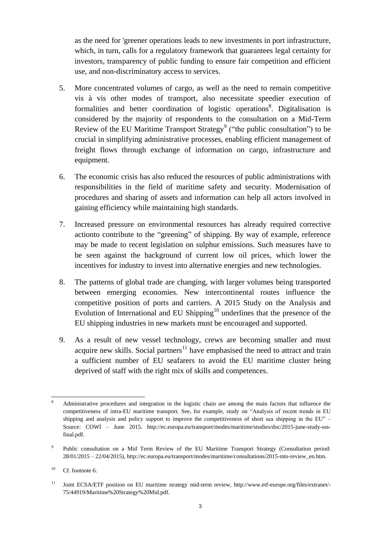as the need for 'greener operations leads to new investments in port infrastructure, which, in turn, calls for a regulatory framework that guarantees legal certainty for investors, transparency of public funding to ensure fair competition and efficient use, and non-discriminatory access to services.

- 5. More concentrated volumes of cargo, as well as the need to remain competitive vis à vis other modes of transport, also necessitate speedier execution of formalities and better coordination of logistic operations<sup>8</sup>. Digitalisation is considered by the majority of respondents to the consultation on a Mid-Term Review of the EU Maritime Transport Strategy<sup>9</sup> ("the public consultation") to be crucial in simplifying administrative processes, enabling efficient management of freight flows through exchange of information on cargo, infrastructure and equipment.
- 6. The economic crisis has also reduced the resources of public administrations with responsibilities in the field of maritime safety and security. Modernisation of procedures and sharing of assets and information can help all actors involved in gaining efficiency while maintaining high standards.
- 7. Increased pressure on environmental resources has already required corrective actionto contribute to the "greening" of shipping. By way of example, reference may be made to recent legislation on sulphur emissions. Such measures have to be seen against the background of current low oil prices, which lower the incentives for industry to invest into alternative energies and new technologies.
- 8. The patterns of global trade are changing, with larger volumes being transported between emerging economies. New intercontinental routes influence the competitive position of ports and carriers. A 2015 Study on the Analysis and Evolution of International and EU Shipping<sup>10</sup> underlines that the presence of the EU shipping industries in new markets must be encouraged and supported.
- 9. As a result of new vessel technology, crews are becoming smaller and must acquire new skills. Social partners<sup>11</sup> have emphasised the need to attract and train a sufficient number of EU seafarers to avoid the EU maritime cluster being deprived of staff with the right mix of skills and competences.

 $\overline{a}$ <sup>8</sup> Administrative procedures and integration in the logistic chain are among the main factors that influence the competitiveness of intra-EU maritime transport. See, for example, study on "Analysis of recent trends in EU shipping and analysis and policy support to improve the competitiveness of short sea shipping in the EU" – Source: COWI – June 2015. http://ec.europa.eu/transport/modes/maritime/studies/doc/2015-june-study-sssfinal.pdf.

<sup>9</sup> Public consultation on a Mid Term Review of the EU Maritime Transport Strategy (Consultation period: 28/01/2015 – 22/04/2015), http://ec.europa.eu/transport/modes/maritime/consultations/2015-mts-review\_en.htm.

 $10$  Cf. footnote 6.

<sup>&</sup>lt;sup>11</sup> Joint ECSA/ETF position on EU maritime strategy mid-term review, http://www.etf-europe.org/files/extranet/-75/44919/Maritime%20Strategy%20Mid.pdf.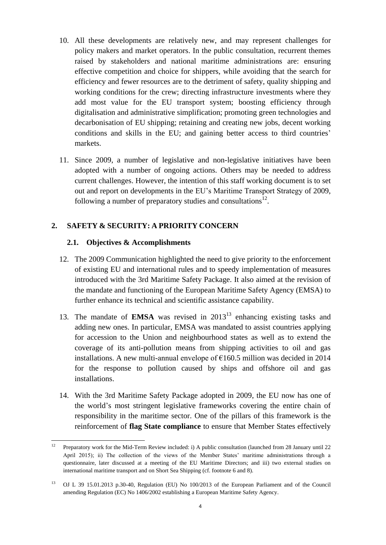- 10. All these developments are relatively new, and may represent challenges for policy makers and market operators. In the public consultation, recurrent themes raised by stakeholders and national maritime administrations are: ensuring effective competition and choice for shippers, while avoiding that the search for efficiency and fewer resources are to the detriment of safety, quality shipping and working conditions for the crew; directing infrastructure investments where they add most value for the EU transport system; boosting efficiency through digitalisation and administrative simplification; promoting green technologies and decarbonisation of EU shipping; retaining and creating new jobs, decent working conditions and skills in the EU; and gaining better access to third countries' markets.
- 11. Since 2009, a number of legislative and non-legislative initiatives have been adopted with a number of ongoing actions. Others may be needed to address current challenges. However, the intention of this staff working document is to set out and report on developments in the EU's Maritime Transport Strategy of 2009, following a number of preparatory studies and consultations $^{12}$ .

# **2. SAFETY & SECURITY: A PRIORITY CONCERN**

#### **2.1. Objectives & Accomplishments**

- 12. The 2009 Communication highlighted the need to give priority to the enforcement of existing EU and international rules and to speedy implementation of measures introduced with the 3rd Maritime Safety Package. It also aimed at the revision of the mandate and functioning of the European Maritime Safety Agency (EMSA) to further enhance its technical and scientific assistance capability.
- 13. The mandate of **EMSA** was revised in  $2013<sup>13</sup>$  enhancing existing tasks and adding new ones. In particular, EMSA was mandated to assist countries applying for accession to the Union and neighbourhood states as well as to extend the coverage of its anti-pollution means from shipping activities to oil and gas installations. A new multi-annual envelope of  $\epsilon$ 160.5 million was decided in 2014 for the response to pollution caused by ships and offshore oil and gas installations.
- 14. With the 3rd Maritime Safety Package adopted in 2009, the EU now has one of the world's most stringent legislative frameworks covering the entire chain of responsibility in the maritime sector. One of the pillars of this framework is the reinforcement of **flag State compliance** to ensure that Member States effectively

 $12$ <sup>12</sup> Preparatory work for the Mid-Term Review included: i) A public consultation (launched from 28 January until 22 April 2015); ii) The collection of the views of the Member States' maritime administrations through a questionnaire, later discussed at a meeting of the EU Maritime Directors; and iii) two external studies on international maritime transport and on Short Sea Shipping (cf. footnote 6 and 8).

<sup>13</sup> OJ L 39 15.01.2013 p.30-40, Regulation (EU) No 100/2013 of the European Parliament and of the Council amending Regulation (EC) No 1406/2002 establishing a European Maritime Safety Agency.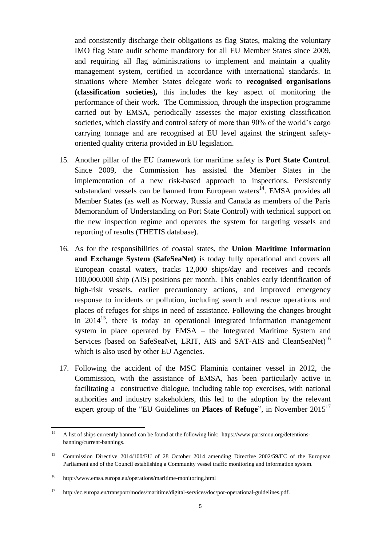and consistently discharge their obligations as flag States, making the voluntary IMO flag State audit scheme mandatory for all EU Member States since 2009, and requiring all flag administrations to implement and maintain a quality management system, certified in accordance with international standards. In situations where Member States delegate work to **recognised organisations (classification societies),** this includes the key aspect of monitoring the performance of their work. The Commission, through the inspection programme carried out by EMSA, periodically assesses the major existing classification societies, which classify and control safety of more than 90% of the world's cargo carrying tonnage and are recognised at EU level against the stringent safetyoriented quality criteria provided in EU legislation.

- 15. Another pillar of the EU framework for maritime safety is **Port State Control**. Since 2009, the Commission has assisted the Member States in the implementation of a new risk-based approach to inspections. Persistently substandard vessels can be banned from European waters<sup>14</sup>. EMSA provides all Member States (as well as Norway, Russia and Canada as members of the Paris Memorandum of Understanding on Port State Control) with technical support on the new inspection regime and operates the system for targeting vessels and reporting of results (THETIS database).
- 16. As for the responsibilities of coastal states, the **Union Maritime Information and Exchange System (SafeSeaNet)** is today fully operational and covers all European coastal waters, tracks 12,000 ships/day and receives and records 100,000,000 ship (AIS) positions per month. This enables early identification of high-risk vessels, earlier precautionary actions, and improved emergency response to incidents or pollution, including search and rescue operations and places of refuges for ships in need of assistance. Following the changes brought in  $2014^{15}$ , there is today an operational integrated information management system in place operated by EMSA – the Integrated Maritime System and Services (based on SafeSeaNet, LRIT, AIS and SAT-AIS and CleanSeaNet)<sup>16</sup> which is also used by other EU Agencies.
- 17. Following the accident of the MSC Flaminia container vessel in 2012, the Commission, with the assistance of EMSA, has been particularly active in facilitating a constructive dialogue, including table top exercises, with national authorities and industry stakeholders, this led to the adoption by the relevant expert group of the "EU Guidelines on **Places of Refuge**", in November 2015<sup>17</sup>

 $14$ <sup>14</sup> A list of ships currently banned can be found at the following link: [https://www.parismou.org/detentions](https://www.parismou.org/detentions-banning/current-bannings)[banning/current-bannings.](https://www.parismou.org/detentions-banning/current-bannings)

<sup>&</sup>lt;sup>15</sup> Commission Directive 2014/100/EU of 28 October 2014 amending Directive 2002/59/EC of the European Parliament and of the Council establishing a Community vessel traffic monitoring and information system.

<sup>16</sup> http://www.emsa.europa.eu/operations/maritime-monitoring.html

<sup>17</sup> http://ec.europa.eu/transport/modes/maritime/digital-services/doc/por-operational-guidelines.pdf.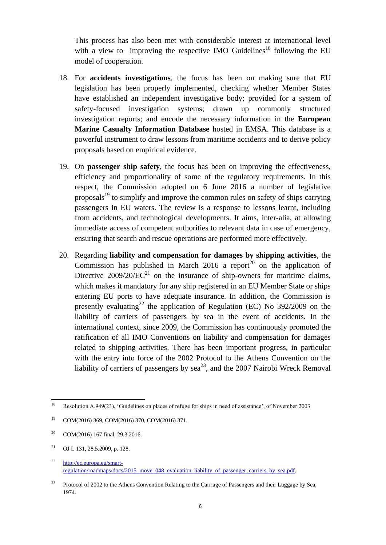This process has also been met with considerable interest at international level with a view to improving the respective IMO Guidelines<sup>18</sup> following the EU model of cooperation.

- 18. For **accidents investigations**, the focus has been on making sure that EU legislation has been properly implemented, checking whether Member States have established an independent investigative body; provided for a system of safety-focused investigation systems; drawn up commonly structured investigation reports; and encode the necessary information in the **European Marine Casualty Information Database** hosted in EMSA. This database is a powerful instrument to draw lessons from maritime accidents and to derive policy proposals based on empirical evidence.
- 19. On **passenger ship safety**, the focus has been on improving the effectiveness, efficiency and proportionality of some of the regulatory requirements. In this respect, the Commission adopted on 6 June 2016 a number of legislative proposals<sup>19</sup> to simplify and improve the common rules on safety of ships carrying passengers in EU waters. The review is a response to lessons learnt, including from accidents, and technological developments. It aims, inter-alia, at allowing immediate access of competent authorities to relevant data in case of emergency, ensuring that search and rescue operations are performed more effectively.
- 20. Regarding **liability and compensation for damages by shipping activities**, the Commission has published in March 2016 a report<sup>20</sup> on the application of Directive  $2009/20/EC^{21}$  on the insurance of ship-owners for maritime claims, which makes it mandatory for any ship registered in an EU Member State or ships entering EU ports to have adequate insurance. In addition, the Commission is presently evaluating<sup>22</sup> the application of Regulation (EC) No  $392/2009$  on the liability of carriers of passengers by sea in the event of accidents. In the international context, since 2009, the Commission has continuously promoted the ratification of all IMO Conventions on liability and compensation for damages related to shipping activities. There has been important progress, in particular with the entry into force of the 2002 Protocol to the Athens Convention on the liability of carriers of passengers by  $\text{sea}^{23}$ , and the 2007 Nairobi Wreck Removal

<sup>18</sup> Resolution A.949(23), 'Guidelines on places of refuge for ships in need of assistance', of November 2003.

<sup>19</sup> COM(2016) 369, COM(2016) 370, COM(2016) 371.

<sup>&</sup>lt;sup>20</sup> COM(2016) 167 final, 29.3.2016.

<sup>21</sup> OJ L 131, 28.5.2009, p. 128.

<sup>22</sup> [http://ec.europa.eu/smart](http://ec.europa.eu/smart-regulation/roadmaps/docs/2015_move_048_evaluation_liability_of_passenger_carriers_by_sea.pdf)[regulation/roadmaps/docs/2015\\_move\\_048\\_evaluation\\_liability\\_of\\_passenger\\_carriers\\_by\\_sea.pdf.](http://ec.europa.eu/smart-regulation/roadmaps/docs/2015_move_048_evaluation_liability_of_passenger_carriers_by_sea.pdf)

<sup>23</sup> Protocol of 2002 to the Athens Convention Relating to the Carriage of Passengers and their Luggage by Sea, 1974.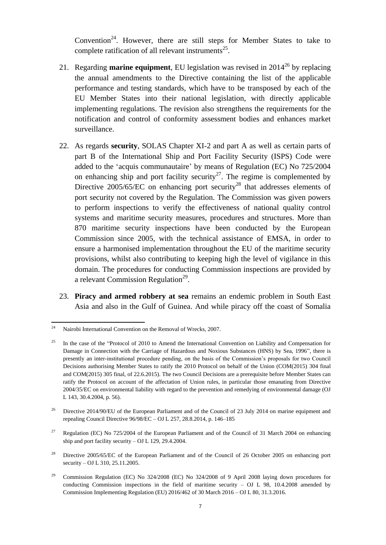Convention<sup>24</sup>. However, there are still steps for Member States to take to complete ratification of all relevant instruments<sup>25</sup>.

- 21. Regarding **marine equipment**, EU legislation was revised in 2014<sup>26</sup> by replacing the annual amendments to the Directive containing the list of the applicable performance and testing standards, which have to be transposed by each of the EU Member States into their national legislation, with directly applicable implementing regulations. The revision also strengthens the requirements for the notification and control of conformity assessment bodies and enhances market surveillance.
- 22. As regards **security**, SOLAS Chapter XI-2 and part A as well as certain parts of part B of the International Ship and Port Facility Security (ISPS) Code were added to the 'acquis communautaire' by means of Regulation (EC) No 725/2004 on enhancing ship and port facility security<sup>27</sup>. The regime is complemented by Directive  $2005/65/EC$  on enhancing port security<sup>28</sup> that addresses elements of port security not covered by the Regulation. The Commission was given powers to perform inspections to verify the effectiveness of national quality control systems and maritime security measures, procedures and structures. More than 870 maritime security inspections have been conducted by the European Commission since 2005, with the technical assistance of EMSA, in order to ensure a harmonised implementation throughout the EU of the maritime security provisions, whilst also contributing to keeping high the level of vigilance in this domain. The procedures for conducting Commission inspections are provided by a relevant Commission Regulation<sup>29</sup>.
- 23. **Piracy and armed robbery at sea** remains an endemic problem in South East Asia and also in the Gulf of Guinea. And while piracy off the coast of Somalia

- <sup>28</sup> Directive 2005/65/EC of the European Parliament and of the Council of 26 October 2005 on enhancing port security – OJ L 310, 25.11.2005.
- 29 Commission Regulation (EC) No 324/2008 (EC) No 324/2008 of 9 April 2008 laying down procedures for conducting Commission inspections in the field of maritime security  $-$  OJ L 98, 10.4.2008 amended by Commission Implementing Regulation (EU) 2016/462 of 30 March 2016 – OJ L 80, 31.3.2016.

<sup>24</sup> Nairobi International Convention on the Removal of Wrecks, 2007.

<sup>&</sup>lt;sup>25</sup> In the case of the "Protocol of 2010 to Amend the International Convention on Liability and Compensation for Damage in Connection with the Carriage of Hazardous and Noxious Substances (HNS) by Sea, 1996", there is presently an inter-institutional procedure pending, on the basis of the Commission's proposals for two Council Decisions authorising Member States to ratify the 2010 Protocol on behalf of the Union (COM(2015) 304 final and COM(2015) 305 final, of 22.6.2015). The two Council Decisions are a prerequisite before Member States can ratify the Protocol on account of the affectation of Union rules, in particular those emanating from Directive 2004/35/EC on environmental liability with regard to the prevention and remedying of environmental damage (OJ L 143, 30.4.2004, p. 56).

<sup>&</sup>lt;sup>26</sup> Directive 2014/90/EU of the European Parliament and of the Council of 23 July 2014 on marine equipment and repealing Council Directive 96/98/EC – OJ L 257, 28.8.2014, p. 146–185

<sup>&</sup>lt;sup>27</sup> Regulation (EC) No 725/2004 of the European Parliament and of the Council of 31 March 2004 on enhancing ship and port facility security – OJ L 129, 29.4.2004.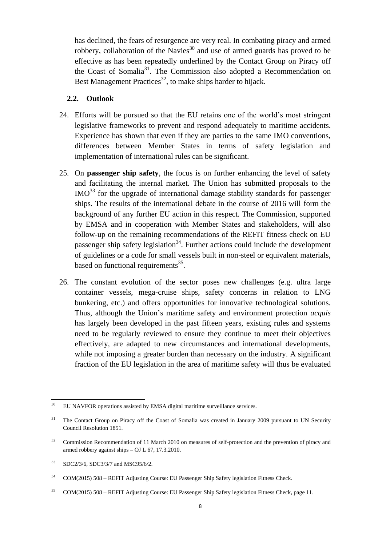has declined, the fears of resurgence are very real. In combating piracy and armed robbery, collaboration of the Navies<sup>30</sup> and use of armed guards has proved to be effective as has been repeatedly underlined by the Contact Group on Piracy off the Coast of Somalia<sup>31</sup>. The Commission also adopted a Recommendation on Best Management Practices<sup>32</sup>, to make ships harder to hijack.

#### **2.2. Outlook**

- 24. Efforts will be pursued so that the EU retains one of the world's most stringent legislative frameworks to prevent and respond adequately to maritime accidents. Experience has shown that even if they are parties to the same IMO conventions, differences between Member States in terms of safety legislation and implementation of international rules can be significant.
- 25. On **passenger ship safety**, the focus is on further enhancing the level of safety and facilitating the internal market. The Union has submitted proposals to the  $IMO<sup>33</sup>$  for the upgrade of international damage stability standards for passenger ships. The results of the international debate in the course of 2016 will form the background of any further EU action in this respect. The Commission, supported by EMSA and in cooperation with Member States and stakeholders, will also follow-up on the remaining recommendations of the REFIT fitness check on EU passenger ship safety legislation<sup>34</sup>. Further actions could include the development of guidelines or a code for small vessels built in non-steel or equivalent materials, based on functional requirements<sup>35</sup>.
- 26. The constant evolution of the sector poses new challenges (e.g. ultra large container vessels, mega-cruise ships, safety concerns in relation to LNG bunkering, etc.) and offers opportunities for innovative technological solutions. Thus, although the Union's maritime safety and environment protection *acquis* has largely been developed in the past fifteen years, existing rules and systems need to be regularly reviewed to ensure they continue to meet their objectives effectively, are adapted to new circumstances and international developments, while not imposing a greater burden than necessary on the industry. A significant fraction of the EU legislation in the area of maritime safety will thus be evaluated

<sup>35</sup> COM(2015) 508 – REFIT Adjusting Course: EU Passenger Ship Safety legislation Fitness Check, page 11.

<sup>30</sup> EU NAVFOR operations assisted by EMSA digital maritime surveillance services.

<sup>&</sup>lt;sup>31</sup> The Contact Group on Piracy off the Coast of Somalia was created in January 2009 pursuant to UN Security Council Resolution 1851.

<sup>&</sup>lt;sup>32</sup> Commission Recommendation of 11 March 2010 on measures of self-protection and the prevention of piracy and armed robbery against ships – OJ L 67, 17.3.2010.

<sup>&</sup>lt;sup>33</sup> SDC2/3/6, SDC3/3/7 and MSC95/6/2.

<sup>&</sup>lt;sup>34</sup> COM(2015) 508 – REFIT Adjusting Course: EU Passenger Ship Safety legislation Fitness Check.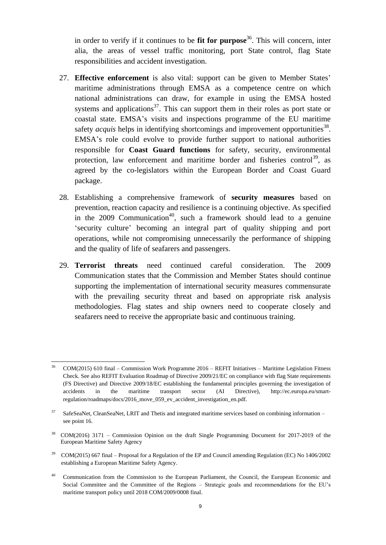in order to verify if it continues to be **fit for purpose**<sup>36</sup>. This will concern, inter alia, the areas of vessel traffic monitoring, port State control, flag State responsibilities and accident investigation.

- 27. **Effective enforcement** is also vital: support can be given to Member States' maritime administrations through EMSA as a competence centre on which national administrations can draw, for example in using the EMSA hosted systems and applications<sup>37</sup>. This can support them in their roles as port state or coastal state. EMSA's visits and inspections programme of the EU maritime safety  $acquis$  helps in identifying shortcomings and improvement opportunities<sup>38</sup>. EMSA's role could evolve to provide further support to national authorities responsible for **Coast Guard functions** for safety, security, environmental protection, law enforcement and maritime border and fisheries control<sup>39</sup>, as agreed by the co-legislators within the European Border and Coast Guard package.
- 28. Establishing a comprehensive framework of **security measures** based on prevention, reaction capacity and resilience is a continuing objective. As specified in the 2009 Communication<sup>40</sup>, such a framework should lead to a genuine 'security culture' becoming an integral part of quality shipping and port operations, while not compromising unnecessarily the performance of shipping and the quality of life of seafarers and passengers.
- 29. **Terrorist threats** need continued careful consideration. The 2009 Communication states that the Commission and Member States should continue supporting the implementation of international security measures commensurate with the prevailing security threat and based on appropriate risk analysis methodologies. Flag states and ship owners need to cooperate closely and seafarers need to receive the appropriate basic and continuous training.

- <sup>39</sup> COM(2015) 667 final Proposal for a Regulation of the EP and Council amending Regulation (EC) No 1406/2002 establishing a European Maritime Safety Agency.
- <sup>40</sup> Communication from the Commission to the European Parliament, the Council, the European Economic and Social Committee and the Committee of the Regions – Strategic goals and recommendations for the EU's maritime transport policy until 2018 COM/2009/0008 final.

 $\overline{a}$ <sup>36</sup> COM(2015) 610 final – Commission Work Programme 2016 – REFIT Initiatives – Maritime Legislation Fitness Check. See also REFIT Evaluation Roadmap of Directive 2009/21/EC on compliance with flag State requirements (FS Directive) and Directive 2009/18/EC establishing the fundamental principles governing the investigation of accidents in the maritime transport sector (AI Directive), http://ec.europa.eu/smartregulation/roadmaps/docs/2016\_move\_059\_ev\_accident\_investigation\_en.pdf.

<sup>&</sup>lt;sup>37</sup> SafeSeaNet, CleanSeaNet, LRIT and Thetis and integrated maritime services based on combining information – see point 16.

<sup>38</sup> COM(2016) 3171 – Commission Opinion on the draft Single Programming Document for 2017-2019 of the European Maritime Safety Agency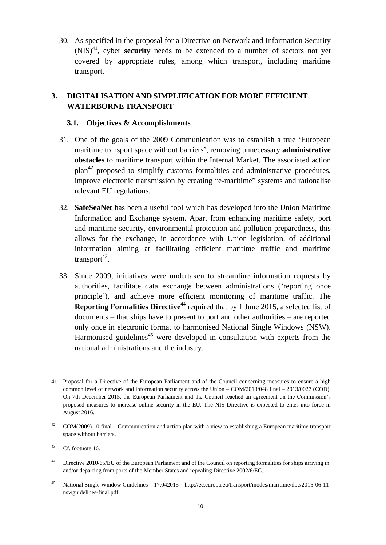30. As specified in the proposal for a Directive on Network and Information Security  $(NIS)^{41}$ , cyber **security** needs to be extended to a number of sectors not yet covered by appropriate rules, among which transport, including maritime transport.

# **3. DIGITALISATION AND SIMPLIFICATION FOR MORE EFFICIENT WATERBORNE TRANSPORT**

### **3.1. Objectives & Accomplishments**

- 31. One of the goals of the 2009 Communication was to establish a true 'European maritime transport space without barriers', removing unnecessary **administrative obstacles** to maritime transport within the Internal Market. The associated action plan<sup>42</sup> proposed to simplify customs formalities and administrative procedures, improve electronic transmission by creating "e-maritime" systems and rationalise relevant EU regulations.
- 32. **SafeSeaNet** has been a useful tool which has developed into the Union Maritime Information and Exchange system. Apart from enhancing maritime safety, port and maritime security, environmental protection and pollution preparedness, this allows for the exchange, in accordance with Union legislation, of additional information aiming at facilitating efficient maritime traffic and maritime  $transport^{43}$ .
- 33. Since 2009, initiatives were undertaken to streamline information requests by authorities, facilitate data exchange between administrations ('reporting once principle'), and achieve more efficient monitoring of maritime traffic. The **Reporting Formalities Directive**<sup>44</sup> required that by 1 June 2015, a selected list of documents – that ships have to present to port and other authorities – are reported only once in electronic format to harmonised National Single Windows (NSW). Harmonised guidelines<sup> $45$ </sup> were developed in consultation with experts from the national administrations and the industry.

 $\overline{a}$ 41 Proposal for a Directive of the European Parliament and of the Council concerning measures to ensure a high common level of network and information security across the Union – COM/2013/048 final – 2013/0027 (COD). On 7th December 2015, the European Parliament and the Council reached an agreement on the Commission's proposed measures to increase online security in the EU. The NIS Directive is expected to enter into force in August 2016.

 $42$  COM(2009) 10 final – Communication and action plan with a view to establishing a European maritime transport space without barriers.

<sup>43</sup> Cf. footnote 16.

<sup>&</sup>lt;sup>44</sup> Directive 2010/65/EU of the European Parliament and of the Council on reporting formalities for ships arriving in and/or departing from ports of the Member States and repealing Directive 2002/6/EC.

<sup>45</sup> National Single Window Guidelines – 17.042015 – http://ec.europa.eu/transport/modes/maritime/doc/2015-06-11 nswguidelines-final.pdf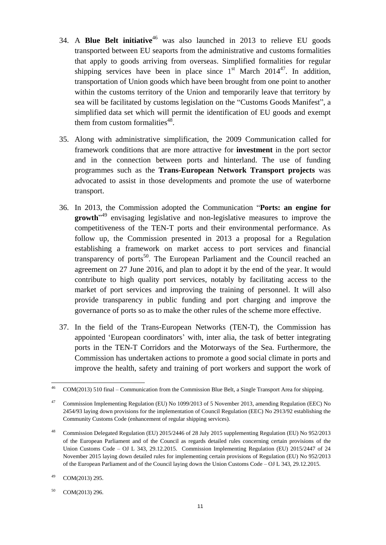- 34. A **Blue Belt initiative**<sup>46</sup> was also launched in 2013 to relieve EU goods transported between EU seaports from the administrative and customs formalities that apply to goods arriving from overseas. Simplified formalities for regular shipping services have been in place since  $1<sup>st</sup>$  March 2014<sup>47</sup>. In addition, transportation of Union goods which have been brought from one point to another within the customs territory of the Union and temporarily leave that territory by sea will be facilitated by customs legislation on the "Customs Goods Manifest", a simplified data set which will permit the identification of EU goods and exempt them from custom formalities<sup>48</sup>.
- 35. Along with administrative simplification, the 2009 Communication called for framework conditions that are more attractive for **investment** in the port sector and in the connection between ports and hinterland. The use of funding programmes such as the **Trans-European Network Transport projects** was advocated to assist in those developments and promote the use of waterborne transport.
- 36. In 2013, the Commission adopted the Communication "**Ports: an engine for growth**" <sup>49</sup> envisaging legislative and non-legislative measures to improve the competitiveness of the TEN-T ports and their environmental performance. As follow up, the Commission presented in 2013 a proposal for a Regulation establishing a framework on market access to port services and financial transparency of ports<sup>50</sup>. The European Parliament and the Council reached an agreement on 27 June 2016, and plan to adopt it by the end of the year. It would contribute to high quality port services, notably by facilitating access to the market of port services and improving the training of personnel. It will also provide transparency in public funding and port charging and improve the governance of ports so as to make the other rules of the scheme more effective.
- 37. In the field of the Trans-European Networks (TEN-T), the Commission has appointed 'European coordinators' with, inter alia, the task of better integrating ports in the TEN-T Corridors and the Motorways of the Sea. Furthermore, the Commission has undertaken actions to promote a good social climate in ports and improve the health, safety and training of port workers and support the work of

 46 COM(2013) 510 final – Communication from the Commission Blue Belt, a Single Transport Area for shipping.

<sup>&</sup>lt;sup>47</sup> Commission Implementing Regulation (EU) No 1099/2013 of 5 November 2013, amending Regulation (EEC) No 2454/93 laying down provisions for the implementation of Council Regulation (EEC) No 2913/92 establishing the Community Customs Code (enhancement of regular shipping services).

<sup>48</sup> Commission Delegated Regulation (EU) 2015/2446 of 28 July 2015 supplementing Regulation (EU) No 952/2013 of the European Parliament and of the Council as regards detailed rules concerning certain provisions of the Union Customs Code – OJ L 343, 29.12.2015. Commission Implementing Regulation (EU) 2015/2447 of 24 November 2015 laying down detailed rules for implementing certain provisions of Regulation (EU) No 952/2013 of the European Parliament and of the Council laying down the Union Customs Code – OJ L 343, 29.12.2015.

<sup>49</sup> COM(2013) 295.

 $50$  COM(2013) 296.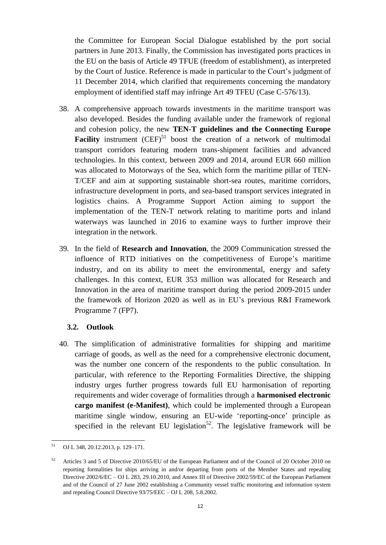the Committee for European Social Dialogue established by the port social partners in June 2013. Finally, the Commission has investigated ports practices in the EU on the basis of Article 49 TFUE (freedom of establishment), as interpreted by the Court of Justice. Reference is made in particular to the Court's judgment of 11 December 2014, which clarified that requirements concerning the mandatory employment of identified staff may infringe Art 49 TFEU (Case C-576/13).

- 38. A comprehensive approach towards investments in the maritime transport was also developed. Besides the funding available under the framework of regional and cohesion policy, the new **TEN-T guidelines and the Connecting Europe Facility** instrument  $(CEF)^{51}$  boost the creation of a network of multimodal transport corridors featuring modern trans-shipment facilities and advanced technologies. In this context, between 2009 and 2014, around EUR 660 million was allocated to Motorways of the Sea, which form the maritime pillar of TEN-T/CEF and aim at supporting sustainable short-sea routes, maritime corridors, infrastructure development in ports, and sea-based transport services integrated in logistics chains. A Programme Support Action aiming to support the implementation of the TEN-T network relating to maritime ports and inland waterways was launched in 2016 to examine ways to further improve their integration in the network.
- 39. In the field of **Research and Innovation**, the 2009 Communication stressed the influence of RTD initiatives on the competitiveness of Europe's maritime industry, and on its ability to meet the environmental, energy and safety challenges. In this context, EUR 353 million was allocated for Research and Innovation in the area of maritime transport during the period 2009-2015 under the framework of Horizon 2020 as well as in EU's previous R&I Framework Programme 7 (FP7).

# **3.2. Outlook**

40. The simplification of administrative formalities for shipping and maritime carriage of goods, as well as the need for a comprehensive electronic document, was the number one concern of the respondents to the public consultation. In particular, with reference to the Reporting Formalities Directive, the shipping industry urges further progress towards full EU harmonisation of reporting requirements and wider coverage of formalities through a **harmonised electronic cargo manifest (e-Manifest)**, which could be implemented through a European maritime single window, ensuring an EU-wide 'reporting-once' principle as specified in the relevant EU legislation<sup>52</sup>. The legislative framework will be

<sup>51</sup> <sup>51</sup> OJ L 348, 20.12.2013, p. 129–171.

<sup>&</sup>lt;sup>52</sup> Articles 3 and 5 of Directive 2010/65/EU of the European Parliament and of the Council of 20 October 2010 on reporting formalities for ships arriving in and/or departing from ports of the Member States and repealing Directive 2002/6/EC – OJ L 283, 29.10.2010, and Annex III of Directive 2002/59/EC of the European Parliament and of the Council of 27 June 2002 establishing a Community vessel traffic monitoring and information system and repealing Council Directive 93/75/EEC – OJ L 208, 5.8.2002.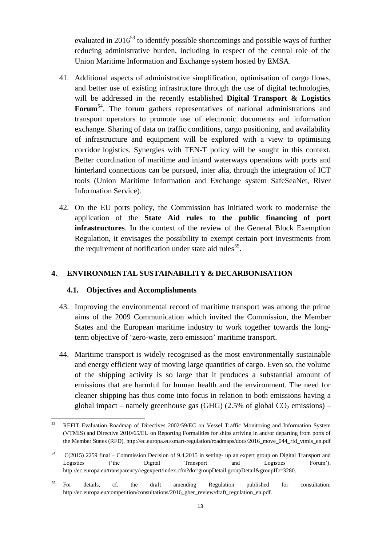evaluated in  $2016^{53}$  to identify possible shortcomings and possible ways of further reducing administrative burden, including in respect of the central role of the Union Maritime Information and Exchange system hosted by EMSA.

- 41. Additional aspects of administrative simplification, optimisation of cargo flows, and better use of existing infrastructure through the use of digital technologies, will be addressed in the recently established **Digital Transport & Logistics**  Forum<sup>54</sup>. The forum gathers representatives of national administrations and transport operators to promote use of electronic documents and information exchange. Sharing of data on traffic conditions, cargo positioning, and availability of infrastructure and equipment will be explored with a view to optimising corridor logistics. Synergies with TEN-T policy will be sought in this context. Better coordination of maritime and inland waterways operations with ports and hinterland connections can be pursued, inter alia, through the integration of ICT tools (Union Maritime Information and Exchange system SafeSeaNet, River Information Service).
- 42. On the EU ports policy, the Commission has initiated work to modernise the application of the **State Aid rules to the public financing of port infrastructures**. In the context of the review of the General Block Exemption Regulation, it envisages the possibility to exempt certain port investments from the requirement of notification under state aid rules<sup>55</sup>.

## **4. ENVIRONMENTAL SUSTAINABILITY & DECARBONISATION**

#### **4.1. Objectives and Accomplishments**

- 43. Improving the environmental record of maritime transport was among the prime aims of the 2009 Communication which invited the Commission, the Member States and the European maritime industry to work together towards the longterm objective of 'zero-waste, zero emission' maritime transport.
- 44. Maritime transport is widely recognised as the most environmentally sustainable and energy efficient way of moving large quantities of cargo. Even so, the volume of the shipping activity is so large that it produces a substantial amount of emissions that are harmful for human health and the environment. The need for cleaner shipping has thus come into focus in relation to both emissions having a global impact – namely greenhouse gas (GHG) (2.5% of global  $CO_2$  emissions) –

<sup>53</sup> <sup>53</sup> REFIT Evaluation Roadmap of Directives 2002/59/EC on Vessel Traffic Monitoring and Information System (VTMIS) and Directive 2010/65/EU on Reporting Formalities for ships arriving in and/or departing from ports of the Member States (RFD), http://ec.europa.eu/smart-regulation/roadmaps/docs/2016\_move\_044\_rfd\_vtmis\_en.pdf

<sup>54</sup> C(2015) 2259 final – Commission Decision of 9.4.2015 in setting- up an expert group on Digital Transport and Logistics ('the Digital Transport and Logistics Forum'), http://ec.europa.eu/transparency/regexpert/index.cfm?do=groupDetail.groupDetail&groupID=3280.

<sup>&</sup>lt;sup>55</sup> For details, cf. the draft amending Regulation published for consultation: http://ec.europa.eu/competition/consultations/2016\_gber\_review/draft\_regulation\_en.pdf.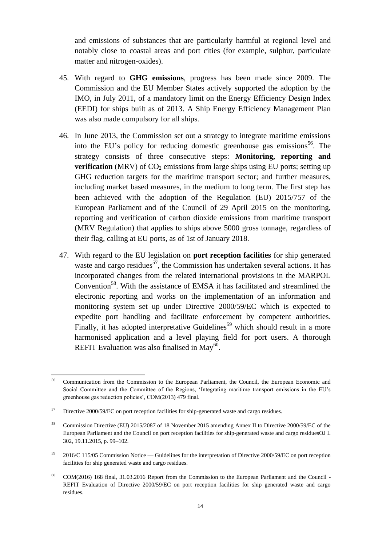and emissions of substances that are particularly harmful at regional level and notably close to coastal areas and port cities (for example, sulphur, particulate matter and nitrogen-oxides).

- 45. With regard to **GHG emissions**, progress has been made since 2009. The Commission and the EU Member States actively supported the adoption by the IMO, in July 2011, of a mandatory limit on the Energy Efficiency Design Index (EEDI) for ships built as of 2013. A Ship Energy Efficiency Management Plan was also made compulsory for all ships.
- 46. In June 2013, the Commission set out a strategy to integrate maritime emissions into the EU's policy for reducing domestic greenhouse gas emissions<sup>56</sup>. The strategy consists of three consecutive steps: **Monitoring, reporting and verification** (MRV) of  $CO<sub>2</sub>$  emissions from large ships using EU ports; setting up GHG reduction targets for the maritime transport sector; and further measures, including market based measures, in the medium to long term. The first step has been achieved with the adoption of the Regulation (EU) 2015/757 of the European Parliament and of the Council of 29 April 2015 on the monitoring, reporting and verification of carbon dioxide emissions from maritime transport (MRV Regulation) that applies to ships above 5000 gross tonnage, regardless of their flag, calling at EU ports, as of 1st of January 2018.
- 47. With regard to the EU legislation on **port reception facilities** for ship generated waste and cargo residues<sup>57</sup>, the Commission has undertaken several actions. It has incorporated changes from the related international provisions in the MARPOL Convention<sup>58</sup>. With the assistance of EMSA it has facilitated and streamlined the electronic reporting and works on the implementation of an information and monitoring system set up under Directive 2000/59/EC which is expected to expedite port handling and facilitate enforcement by competent authorities. Finally, it has adopted interpretative Guidelines<sup>59</sup> which should result in a more harmonised application and a level playing field for port users. A thorough REFIT Evaluation was also finalised in May $^{60}$ .

 $\overline{a}$ <sup>56</sup> Communication from the Commission to the European Parliament, the Council, the European Economic and Social Committee and the Committee of the Regions, 'Integrating maritime transport emissions in the EU's greenhouse gas reduction policies', COM(2013) 479 final.

<sup>&</sup>lt;sup>57</sup> Directive 2000/59/EC on port reception facilities for ship-generated waste and cargo residues.

<sup>58</sup> Commission Directive (EU) 2015/2087 of 18 November 2015 amending Annex II to Directive 2000/59/EC of the European Parliament and the Council on port reception facilities for ship-generated waste and cargo residuesOJ L 302, 19.11.2015, p. 99–102.

 $59$  2016/C 115/05 Commission Notice — Guidelines for the interpretation of Directive 2000/59/EC on port reception facilities for ship generated waste and cargo residues.

COM(2016) 168 final, 31.03.2016 Report from the Commission to the European Parliament and the Council -REFIT Evaluation of Directive 2000/59/EC on port reception facilities for ship generated waste and cargo residues.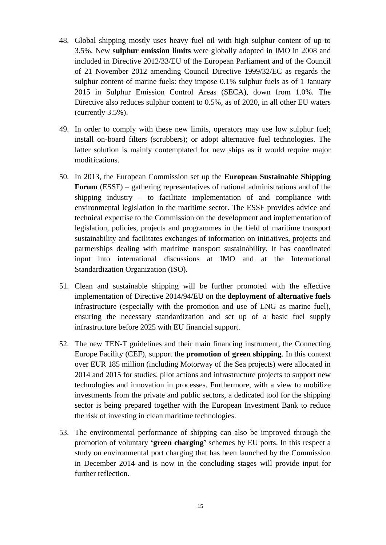- 48. Global shipping mostly uses heavy fuel oil with high sulphur content of up to 3.5%. New **sulphur emission limits** were globally adopted in IMO in 2008 and included in Directive 2012/33/EU of the European Parliament and of the Council of 21 November 2012 amending Council Directive 1999/32/EC as regards the sulphur content of marine fuels: they impose 0.1% sulphur fuels as of 1 January 2015 in Sulphur Emission Control Areas (SECA), down from 1.0%. The Directive also reduces sulphur content to 0.5%, as of 2020, in all other EU waters (currently 3.5%).
- 49. In order to comply with these new limits, operators may use low sulphur fuel; install on-board filters (scrubbers); or adopt alternative fuel technologies. The latter solution is mainly contemplated for new ships as it would require major modifications.
- 50. In 2013, the European Commission set up the **European Sustainable Shipping Forum** (ESSF) – gathering representatives of national administrations and of the shipping industry – to facilitate implementation of and compliance with environmental legislation in the maritime sector. The ESSF provides advice and technical expertise to the Commission on the development and implementation of legislation, policies, projects and programmes in the field of maritime transport sustainability and facilitates exchanges of information on initiatives, projects and partnerships dealing with maritime transport sustainability. It has coordinated input into international discussions at IMO and at the International Standardization Organization (ISO).
- 51. Clean and sustainable shipping will be further promoted with the effective implementation of Directive 2014/94/EU on the **deployment of alternative fuels** infrastructure (especially with the promotion and use of LNG as marine fuel), ensuring the necessary standardization and set up of a basic fuel supply infrastructure before 2025 with EU financial support.
- 52. The new TEN-T guidelines and their main financing instrument, the Connecting Europe Facility (CEF), support the **promotion of green shipping**. In this context over EUR 185 million (including Motorway of the Sea projects) were allocated in 2014 and 2015 for studies, pilot actions and infrastructure projects to support new technologies and innovation in processes. Furthermore, with a view to mobilize investments from the private and public sectors, a dedicated tool for the shipping sector is being prepared together with the European Investment Bank to reduce the risk of investing in clean maritime technologies.
- 53. The environmental performance of shipping can also be improved through the promotion of voluntary **'green charging'** schemes by EU ports. In this respect a study on environmental port charging that has been launched by the Commission in December 2014 and is now in the concluding stages will provide input for further reflection.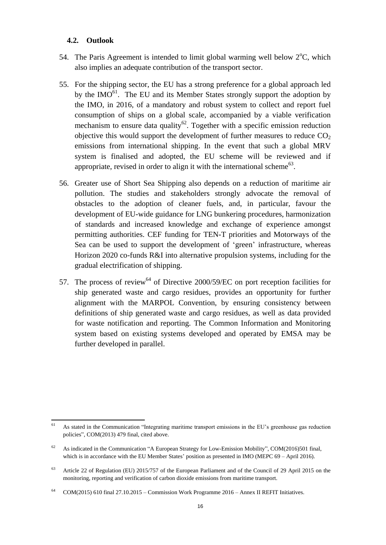#### **4.2. Outlook**

- 54. The Paris Agreement is intended to limit global warming well below  $2^{\circ}C$ , which also implies an adequate contribution of the transport sector.
- 55. For the shipping sector, the EU has a strong preference for a global approach led by the  $IMO<sup>61</sup>$ . The EU and its Member States strongly support the adoption by the IMO, in 2016, of a mandatory and robust system to collect and report fuel consumption of ships on a global scale, accompanied by a viable verification mechanism to ensure data quality<sup>62</sup>. Together with a specific emission reduction objective this would support the development of further measures to reduce  $CO<sub>2</sub>$ emissions from international shipping. In the event that such a global MRV system is finalised and adopted, the EU scheme will be reviewed and if appropriate, revised in order to align it with the international scheme<sup>63</sup>.
- 56. Greater use of Short Sea Shipping also depends on a reduction of maritime air pollution. The studies and stakeholders strongly advocate the removal of obstacles to the adoption of cleaner fuels, and, in particular, favour the development of EU-wide guidance for LNG bunkering procedures, harmonization of standards and increased knowledge and exchange of experience amongst permitting authorities. CEF funding for TEN-T priorities and Motorways of the Sea can be used to support the development of 'green' infrastructure, whereas Horizon 2020 co-funds R&I into alternative propulsion systems, including for the gradual electrification of shipping.
- 57. The process of review<sup>64</sup> of Directive 2000/59/EC on port reception facilities for ship generated waste and cargo residues, provides an opportunity for further alignment with the MARPOL Convention, by ensuring consistency between definitions of ship generated waste and cargo residues, as well as data provided for waste notification and reporting. The Common Information and Monitoring system based on existing systems developed and operated by EMSA may be further developed in parallel.

 61 As stated in the Communication "Integrating maritime transport emissions in the EU's greenhouse gas reduction policies", COM(2013) 479 final, cited above.

As indicated in the Communication "A European Strategy for Low-Emission Mobility", COM(2016)501 final, which is in accordance with the EU Member States' position as presented in IMO (MEPC 69 – April 2016).

<sup>63</sup> Article 22 of Regulation (EU) 2015/757 of the European Parliament and of the Council of 29 April 2015 on the monitoring, reporting and verification of carbon dioxide emissions from maritime transport.

<sup>&</sup>lt;sup>64</sup> COM(2015) 610 final 27.10.2015 – Commission Work Programme 2016 – Annex II REFIT Initiatives.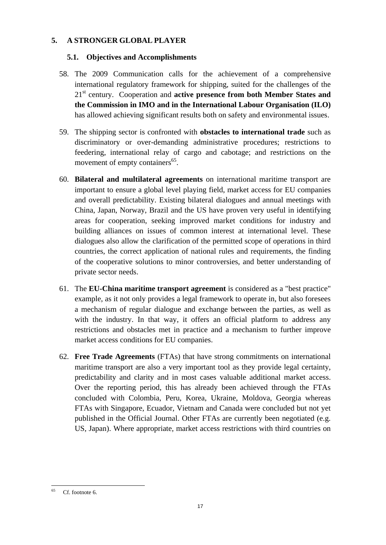# **5. A STRONGER GLOBAL PLAYER**

# **5.1. Objectives and Accomplishments**

- 58. The 2009 Communication calls for the achievement of a comprehensive international regulatory framework for shipping, suited for the challenges of the 21st century. Cooperation and **active presence from both Member States and the Commission in IMO and in the International Labour Organisation (ILO)** has allowed achieving significant results both on safety and environmental issues.
- 59. The shipping sector is confronted with **obstacles to international trade** such as discriminatory or over-demanding administrative procedures; restrictions to feedering, international relay of cargo and cabotage; and restrictions on the movement of empty containers<sup>65</sup>.
- 60. **Bilateral and multilateral agreements** on international maritime transport are important to ensure a global level playing field, market access for EU companies and overall predictability. Existing bilateral dialogues and annual meetings with China, Japan, Norway, Brazil and the US have proven very useful in identifying areas for cooperation, seeking improved market conditions for industry and building alliances on issues of common interest at international level. These dialogues also allow the clarification of the permitted scope of operations in third countries, the correct application of national rules and requirements, the finding of the cooperative solutions to minor controversies, and better understanding of private sector needs.
- 61. The **EU-China maritime transport agreement** is considered as a "best practice" example, as it not only provides a legal framework to operate in, but also foresees a mechanism of regular dialogue and exchange between the parties, as well as with the industry. In that way, it offers an official platform to address any restrictions and obstacles met in practice and a mechanism to further improve market access conditions for EU companies.
- 62. **Free Trade Agreements** (FTAs) that have strong commitments on international maritime transport are also a very important tool as they provide legal certainty, predictability and clarity and in most cases valuable additional market access. Over the reporting period, this has already been achieved through the FTAs concluded with Colombia, Peru, Korea, Ukraine, Moldova, Georgia whereas FTAs with Singapore, Ecuador, Vietnam and Canada were concluded but not yet published in the Official Journal. Other FTAs are currently been negotiated (e.g. US, Japan). Where appropriate, market access restrictions with third countries on

<sup>65</sup> Cf. footnote 6.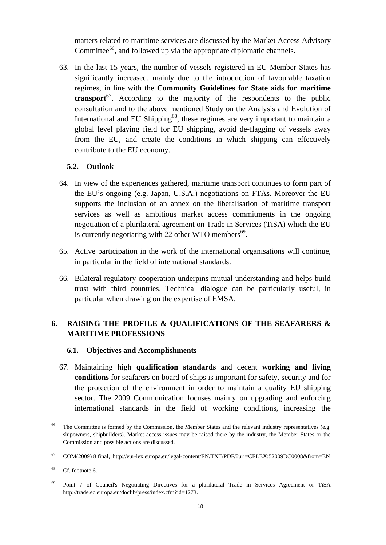matters related to maritime services are discussed by the Market Access Advisory Committee<sup>66</sup>, and followed up via the appropriate diplomatic channels.

63. In the last 15 years, the number of vessels registered in EU Member States has significantly increased, mainly due to the introduction of favourable taxation regimes, in line with the **Community Guidelines for State aids for maritime transport**<sup>67</sup>. According to the majority of the respondents to the public consultation and to the above mentioned Study on the Analysis and Evolution of International and EU Shipping<sup>68</sup>, these regimes are very important to maintain a global level playing field for EU shipping, avoid de-flagging of vessels away from the EU, and create the conditions in which shipping can effectively contribute to the EU economy.

### **5.2. Outlook**

- 64. In view of the experiences gathered, maritime transport continues to form part of the EU's ongoing (e.g. Japan, U.S.A.) negotiations on FTAs. Moreover the EU supports the inclusion of an annex on the liberalisation of maritime transport services as well as ambitious market access commitments in the ongoing negotiation of a plurilateral agreement on Trade in Services (TiSA) which the EU is currently negotiating with 22 other WTO members<sup>69</sup>.
- 65. Active participation in the work of the international organisations will continue, in particular in the field of international standards.
- 66. Bilateral regulatory cooperation underpins mutual understanding and helps build trust with third countries. Technical dialogue can be particularly useful, in particular when drawing on the expertise of EMSA.

# **6. RAISING THE PROFILE & QUALIFICATIONS OF THE SEAFARERS & MARITIME PROFESSIONS**

#### **6.1. Objectives and Accomplishments**

67. Maintaining high **qualification standards** and decent **working and living conditions** for seafarers on board of ships is important for safety, security and for the protection of the environment in order to maintain a quality EU shipping sector. The 2009 Communication focuses mainly on upgrading and enforcing international standards in the field of working conditions, increasing the

<sup>66</sup> The Committee is formed by the Commission, the Member States and the relevant industry representatives (e.g. shipowners, shipbuilders). Market access issues may be raised there by the industry, the Member States or the Commission and possible actions are discussed.

<sup>67</sup> COM(2009) 8 final, <http://eur-lex.europa.eu/legal-content/EN/TXT/PDF/?uri=CELEX:52009DC0008&from=EN>

<sup>68</sup> Cf. footnote 6.

<sup>69</sup> Point 7 of Council's Negotiating Directives for a plurilateral Trade in Services Agreement or TiSA http://trade.ec.europa.eu/doclib/press/index.cfm?id=1273.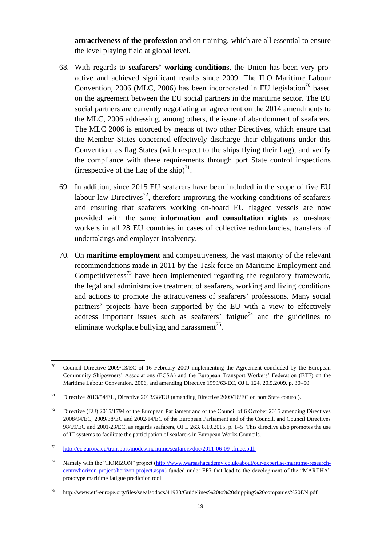**attractiveness of the profession** and on training, which are all essential to ensure the level playing field at global level.

- 68. With regards to **seafarers' working conditions**, the Union has been very proactive and achieved significant results since 2009. The ILO Maritime Labour Convention, 2006 (MLC, 2006) has been incorporated in EU legislation<sup>70</sup> based on the agreement between the EU social partners in the maritime sector. The EU social partners are currently negotiating an agreement on the 2014 amendments to the MLC, 2006 addressing, among others, the issue of abandonment of seafarers. The MLC 2006 is enforced by means of two other Directives, which ensure that the Member States concerned effectively discharge their obligations under this Convention, as flag States (with respect to the ships flying their flag), and verify the compliance with these requirements through port State control inspections (irrespective of the flag of the ship)<sup>71</sup>.
- 69. In addition, since 2015 EU seafarers have been included in the scope of five EU labour law Directives<sup>72</sup>, therefore improving the working conditions of seafarers and ensuring that seafarers working on-board EU flagged vessels are now provided with the same **information and consultation rights** as on-shore workers in all 28 EU countries in cases of collective redundancies, transfers of undertakings and employer insolvency.
- 70. On **maritime employment** and competitiveness, the vast majority of the relevant recommendations made in 2011 by the Task force on Maritime Employment and Competitiveness<sup>73</sup> have been implemented regarding the regulatory framework, the legal and administrative treatment of seafarers, working and living conditions and actions to promote the attractiveness of seafarers' professions. Many social partners' projects have been supported by the EU with a view to effectively address important issues such as seafarers' fatigue<sup>74</sup> and the guidelines to eliminate workplace bullying and harassment $^{75}$ .

<sup>70</sup> <sup>70</sup> Council Directive 2009/13/EC of 16 February 2009 implementing the Agreement concluded by the European Community Shipowners' Associations (ECSA) and the European Transport Workers' Federation (ETF) on the Maritime Labour Convention, 2006, and amending Directive 1999/63/EC, OJ L 124, 20.5.2009, p. 30–50

<sup>71</sup> Directive 2013/54/EU, Directive 2013/38/EU (amending Directive 2009/16/EC on port State control).

<sup>&</sup>lt;sup>72</sup> Directive (EU) 2015/1794 of the European Parliament and of the Council of 6 October 2015 amending Directives 2008/94/EC, 2009/38/EC and 2002/14/EC of the European Parliament and of the Council, and Council Directives 98/59/EC and 2001/23/EC, as regards seafarers, OJ L 263, 8.10.2015, p. 1–5 This directive also promotes the use of IT systems to facilitate the participation of seafarers in European Works Councils.

<sup>73</sup> [http://ec.europa.eu/transport/modes/maritime/seafarers/doc/2011-06-09-tfmec.pdf.](http://ec.europa.eu/transport/modes/maritime/seafarers/doc/2011-06-09-tfmec.pdf)

<sup>74</sup> Namely with the "HORIZON" project [\(http://www.warsashacademy.co.uk/about/our-expertise/maritime-research](http://www.warsashacademy.co.uk/about/our-expertise/maritime-research-centre/horizon-project/horizon-project.aspx)[centre/horizon-project/horizon-project.aspx\)](http://www.warsashacademy.co.uk/about/our-expertise/maritime-research-centre/horizon-project/horizon-project.aspx) funded under FP7 that lead to the development of the "MARTHA" prototype maritime fatigue prediction tool.

<sup>75</sup> http://www.etf-europe.org/files/seealsodocs/41923/Guidelines%20to%20shipping%20companies%20EN.pdf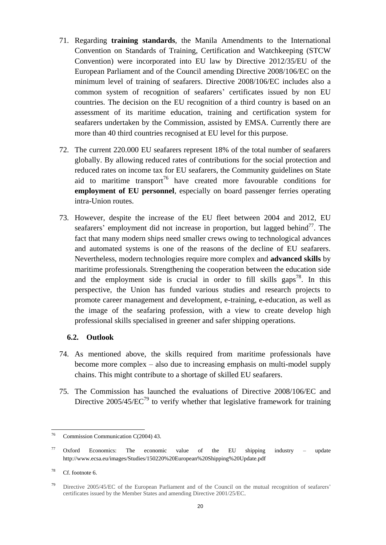- 71. Regarding **training standards**, the Manila Amendments to the International Convention on Standards of Training, Certification and Watchkeeping (STCW Convention) were incorporated into EU law by Directive 2012/35/EU of the European Parliament and of the Council amending Directive 2008/106/EC on the minimum level of training of seafarers. Directive 2008/106/EC includes also a common system of recognition of seafarers' certificates issued by non EU countries. The decision on the EU recognition of a third country is based on an assessment of its maritime education, training and certification system for seafarers undertaken by the Commission, assisted by EMSA. Currently there are more than 40 third countries recognised at EU level for this purpose.
- 72. The current 220.000 EU seafarers represent 18% of the total number of seafarers globally. By allowing reduced rates of contributions for the social protection and reduced rates on income tax for EU seafarers, the Community guidelines on State aid to maritime transport<sup>76</sup> have created more favourable conditions for **employment of EU personnel**, especially on board passenger ferries operating intra-Union routes.
- 73. However, despite the increase of the EU fleet between 2004 and 2012, EU seafarers' employment did not increase in proportion, but lagged behind<sup>77</sup>. The fact that many modern ships need smaller crews owing to technological advances and automated systems is one of the reasons of the decline of EU seafarers. Nevertheless, modern technologies require more complex and **advanced skills** by maritime professionals. Strengthening the cooperation between the education side and the employment side is crucial in order to fill skills gaps<sup>78</sup>. In this perspective, the Union has funded various studies and research projects to promote career management and development, e-training, e-education, as well as the image of the seafaring profession, with a view to create develop high professional skills specialised in greener and safer shipping operations.

#### **6.2. Outlook**

- 74. As mentioned above, the skills required from maritime professionals have become more complex – also due to increasing emphasis on multi-model supply chains. This might contribute to a shortage of skilled EU seafarers.
- 75. The Commission has launched the evaluations of Directive 2008/106/EC and Directive  $2005/45/EC^{79}$  to verify whether that legislative framework for training

 $76\,$ Commission Communication C(2004) 43.

 $77$  Oxford Economics: The economic value of the EU shipping industry – update http://www.ecsa.eu/images/Studies/150220%20European%20Shipping%20Update.pdf

<sup>78</sup> Cf. footnote 6.

<sup>79</sup> Directive 2005/45/EC of the European Parliament and of the Council on the mutual recognition of seafarers' certificates issued by the Member States and amending Directive 2001/25/EC.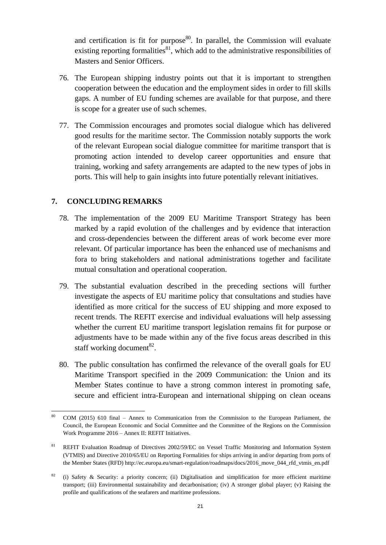and certification is fit for purpose<sup>80</sup>. In parallel, the Commission will evaluate existing reporting formalities $^{81}$ , which add to the administrative responsibilities of Masters and Senior Officers.

- 76. The European shipping industry points out that it is important to strengthen cooperation between the education and the employment sides in order to fill skills gaps. A number of EU funding schemes are available for that purpose, and there is scope for a greater use of such schemes.
- 77. The Commission encourages and promotes social dialogue which has delivered good results for the maritime sector. The Commission notably supports the work of the relevant European social dialogue committee for maritime transport that is promoting action intended to develop career opportunities and ensure that training, working and safety arrangements are adapted to the new types of jobs in ports. This will help to gain insights into future potentially relevant initiatives.

#### **7. CONCLUDING REMARKS**

- 78. The implementation of the 2009 EU Maritime Transport Strategy has been marked by a rapid evolution of the challenges and by evidence that interaction and cross-dependencies between the different areas of work become ever more relevant. Of particular importance has been the enhanced use of mechanisms and fora to bring stakeholders and national administrations together and facilitate mutual consultation and operational cooperation.
- 79. The substantial evaluation described in the preceding sections will further investigate the aspects of EU maritime policy that consultations and studies have identified as more critical for the success of EU shipping and more exposed to recent trends. The REFIT exercise and individual evaluations will help assessing whether the current EU maritime transport legislation remains fit for purpose or adjustments have to be made within any of the five focus areas described in this staff working document $^{82}$ .
- 80. The public consultation has confirmed the relevance of the overall goals for EU Maritime Transport specified in the 2009 Communication: the Union and its Member States continue to have a strong common interest in promoting safe, secure and efficient intra-European and international shipping on clean oceans

 $\overline{a}$ <sup>80</sup> COM (2015) 610 final – Annex to Communication from the Commission to the European Parliament, the Council, the European Economic and Social Committee and the Committee of the Regions on the Commission Work Programme 2016 – Annex II: REFIT Initiatives.

<sup>&</sup>lt;sup>81</sup> REFIT Evaluation Roadmap of Directives 2002/59/EC on Vessel Traffic Monitoring and Information System (VTMIS) and Directive 2010/65/EU on Reporting Formalities for ships arriving in and/or departing from ports of the Member States (RFD) http://ec.europa.eu/smart-regulation/roadmaps/docs/2016\_move\_044\_rfd\_vtmis\_en.pdf

<sup>&</sup>lt;sup>82</sup> (i) Safety & Security: a priority concern; (ii) Digitalisation and simplification for more efficient maritime transport; (iii) Environmental sustainability and decarbonisation; (iv) A stronger global player; (v) Raising the profile and qualifications of the seafarers and maritime professions.